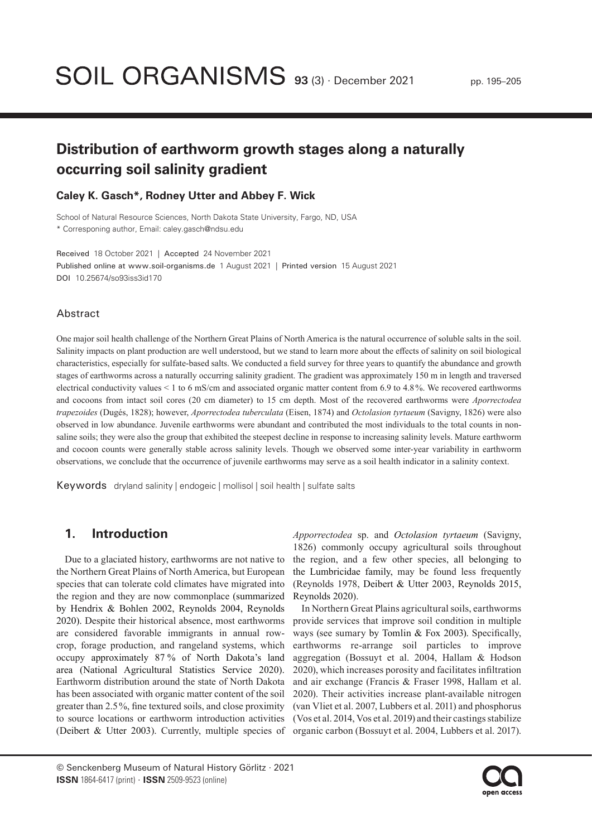# **Distribution of earthworm growth stages along a naturally occurring soil salinity gradient**

### **Caley K. Gasch\*, Rodney Utter and Abbey F. Wick**

School of Natural Resource Sciences, North Dakota State University, Fargo, ND, USA \* Corresponing author, Email: caley.gasch@ndsu.edu

Received 18 October 2021 | Accepted 24 November 2021 Published online at www.soil-organisms.de 1 August 2021 | Printed version 15 August 2021 DOI 10.25674/so93iss3id170

#### Abstract

One major soil health challenge of the Northern Great Plains of North America is the natural occurrence of soluble salts in the soil. Salinity impacts on plant production are well understood, but we stand to learn more about the effects of salinity on soil biological characteristics, especially for sulfate-based salts. We conducted a field survey for three years to quantify the abundance and growth stages of earthworms across a naturally occurring salinity gradient. The gradient was approximately 150 m in length and traversed electrical conductivity values < 1 to 6 mS/cm and associated organic matter content from 6.9 to 4.8%. We recovered earthworms and cocoons from intact soil cores (20 cm diameter) to 15 cm depth. Most of the recovered earthworms were *Aporrectodea trapezoides* (Dugés, 1828); however, *Aporrectodea tuberculata* (Eisen, 1874) and *Octolasion tyrtaeum* (Savigny, 1826) were also observed in low abundance. Juvenile earthworms were abundant and contributed the most individuals to the total counts in nonsaline soils; they were also the group that exhibited the steepest decline in response to increasing salinity levels. Mature earthworm and cocoon counts were generally stable across salinity levels. Though we observed some inter-year variability in earthworm observations, we conclude that the occurrence of juvenile earthworms may serve as a soil health indicator in a salinity context.

Keywords dryland salinity | endogeic | mollisol | soil health | sulfate salts

## **1. Introduction**

Due to a glaciated history, earthworms are not native to the Northern Great Plains of North America, but European species that can tolerate cold climates have migrated into the region and they are now commonplace (summarized by Hendrix & Bohlen 2002, Reynolds 2004, Reynolds 2020). Despite their historical absence, most earthworms are considered favorable immigrants in annual rowcrop, forage production, and rangeland systems, which occupy approximately 87 % of North Dakota's land area (National Agricultural Statistics Service 2020). Earthworm distribution around the state of North Dakota has been associated with organic matter content of the soil greater than 2.5%, fine textured soils, and close proximity to source locations or earthworm introduction activities (Deibert & Utter 2003). Currently, multiple species of

*Apporrectodea* sp. and *Octolasion tyrtaeum* (Savigny, 1826) commonly occupy agricultural soils throughout the region, and a few other species, all belonging to the Lumbricidae family, may be found less frequently (Reynolds 1978, Deibert & Utter 2003, Reynolds 2015, Reynolds 2020).

In Northern Great Plains agricultural soils, earthworms provide services that improve soil condition in multiple ways (see sumary by Tomlin & Fox 2003). Specifically, earthworms re-arrange soil particles to improve aggregation (Bossuyt et al. 2004, Hallam & Hodson 2020), which increases porosity and facilitates infiltration and air exchange (Francis & Fraser 1998, Hallam et al. 2020). Their activities increase plant-available nitrogen (van Vliet et al. 2007, Lubbers et al. 2011) and phosphorus (Vos et al. 2014, Vos et al. 2019) and their castings stabilize organic carbon (Bossuyt et al. 2004, Lubbers et al. 2017).

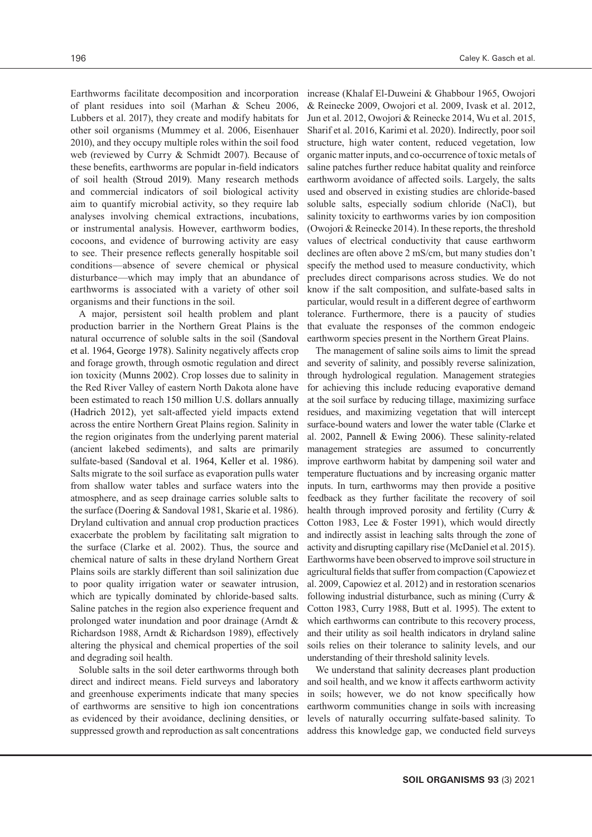Earthworms facilitate decomposition and incorporation of plant residues into soil (Marhan & Scheu 2006, Lubbers et al. 2017), they create and modify habitats for other soil organisms (Mummey et al. 2006, Eisenhauer 2010), and they occupy multiple roles within the soil food web (reviewed by Curry & Schmidt 2007). Because of these benefits, earthworms are popular in-field indicators of soil health (Stroud 2019). Many research methods and commercial indicators of soil biological activity aim to quantify microbial activity, so they require lab analyses involving chemical extractions, incubations, or instrumental analysis. However, earthworm bodies, cocoons, and evidence of burrowing activity are easy to see. Their presence reflects generally hospitable soil conditions—absence of severe chemical or physical disturbance—which may imply that an abundance of earthworms is associated with a variety of other soil organisms and their functions in the soil.

A major, persistent soil health problem and plant production barrier in the Northern Great Plains is the natural occurrence of soluble salts in the soil (Sandoval et al. 1964, George 1978). Salinity negatively affects crop and forage growth, through osmotic regulation and direct ion toxicity (Munns 2002). Crop losses due to salinity in the Red River Valley of eastern North Dakota alone have been estimated to reach 150 million U.S. dollars annually (Hadrich 2012), yet salt-affected yield impacts extend across the entire Northern Great Plains region. Salinity in the region originates from the underlying parent material (ancient lakebed sediments), and salts are primarily sulfate-based (Sandoval et al. 1964, Keller et al. 1986). Salts migrate to the soil surface as evaporation pulls water from shallow water tables and surface waters into the atmosphere, and as seep drainage carries soluble salts to the surface (Doering & Sandoval 1981, Skarie et al. 1986). Dryland cultivation and annual crop production practices exacerbate the problem by facilitating salt migration to the surface (Clarke et al. 2002). Thus, the source and chemical nature of salts in these dryland Northern Great Plains soils are starkly different than soil salinization due to poor quality irrigation water or seawater intrusion, which are typically dominated by chloride-based salts. Saline patches in the region also experience frequent and prolonged water inundation and poor drainage (Arndt & Richardson 1988, Arndt & Richardson 1989), effectively altering the physical and chemical properties of the soil and degrading soil health.

Soluble salts in the soil deter earthworms through both direct and indirect means. Field surveys and laboratory and greenhouse experiments indicate that many species of earthworms are sensitive to high ion concentrations as evidenced by their avoidance, declining densities, or suppressed growth and reproduction as salt concentrations increase (Khalaf El-Duweini & Ghabbour 1965, Owojori & Reinecke 2009, Owojori et al. 2009, Ivask et al. 2012, Jun et al. 2012, Owojori & Reinecke 2014, Wu et al. 2015, Sharif et al. 2016, Karimi et al. 2020). Indirectly, poor soil structure, high water content, reduced vegetation, low organic matter inputs, and co-occurrence of toxic metals of saline patches further reduce habitat quality and reinforce earthworm avoidance of affected soils. Largely, the salts used and observed in existing studies are chloride-based soluble salts, especially sodium chloride (NaCl), but salinity toxicity to earthworms varies by ion composition (Owojori & Reinecke 2014). In these reports, the threshold values of electrical conductivity that cause earthworm declines are often above 2 mS/cm, but many studies don't specify the method used to measure conductivity, which precludes direct comparisons across studies. We do not know if the salt composition, and sulfate-based salts in particular, would result in a different degree of earthworm tolerance. Furthermore, there is a paucity of studies that evaluate the responses of the common endogeic earthworm species present in the Northern Great Plains.

The management of saline soils aims to limit the spread and severity of salinity, and possibly reverse salinization, through hydrological regulation. Management strategies for achieving this include reducing evaporative demand at the soil surface by reducing tillage, maximizing surface residues, and maximizing vegetation that will intercept surface-bound waters and lower the water table (Clarke et al. 2002, Pannell & Ewing 2006). These salinity-related management strategies are assumed to concurrently improve earthworm habitat by dampening soil water and temperature fluctuations and by increasing organic matter inputs. In turn, earthworms may then provide a positive feedback as they further facilitate the recovery of soil health through improved porosity and fertility (Curry & Cotton 1983, Lee & Foster 1991), which would directly and indirectly assist in leaching salts through the zone of activity and disrupting capillary rise (McDaniel et al. 2015). Earthworms have been observed to improve soil structure in agricultural fields that suffer from compaction (Capowiez et al. 2009, Capowiez et al. 2012) and in restoration scenarios following industrial disturbance, such as mining (Curry & Cotton 1983, Curry 1988, Butt et al. 1995). The extent to which earthworms can contribute to this recovery process, and their utility as soil health indicators in dryland saline soils relies on their tolerance to salinity levels, and our understanding of their threshold salinity levels.

We understand that salinity decreases plant production and soil health, and we know it affects earthworm activity in soils; however, we do not know specifically how earthworm communities change in soils with increasing levels of naturally occurring sulfate-based salinity. To address this knowledge gap, we conducted field surveys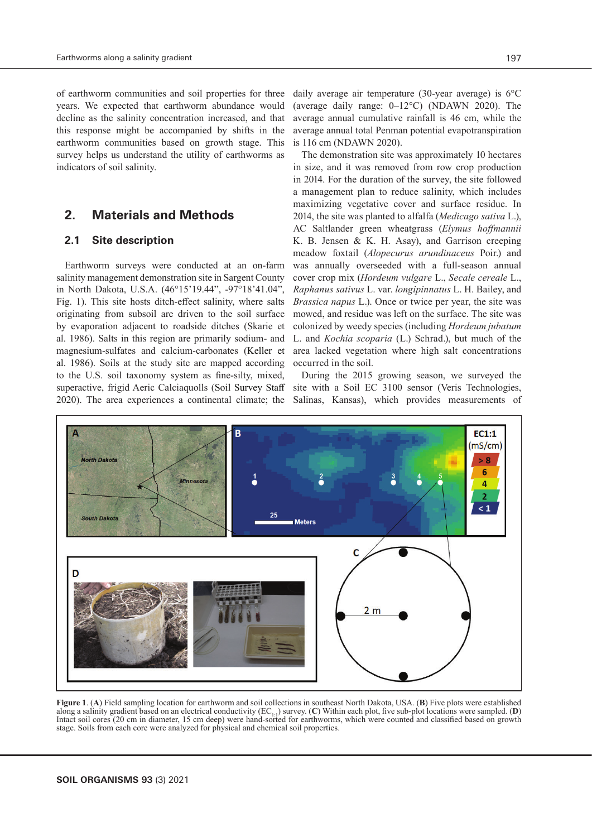of earthworm communities and soil properties for three years. We expected that earthworm abundance would decline as the salinity concentration increased, and that this response might be accompanied by shifts in the earthworm communities based on growth stage. This survey helps us understand the utility of earthworms as indicators of soil salinity.

# **2. Materials and Methods**

### **2.1 Site description**

Earthworm surveys were conducted at an on-farm salinity management demonstration site in Sargent County in North Dakota, U.S.A. (46°15'19.44", -97°18'41.04", Fig. 1). This site hosts ditch-effect salinity, where salts originating from subsoil are driven to the soil surface by evaporation adjacent to roadside ditches (Skarie et al. 1986). Salts in this region are primarily sodium- and magnesium-sulfates and calcium-carbonates (Keller et al. 1986). Soils at the study site are mapped according to the U.S. soil taxonomy system as fine-silty, mixed, superactive, frigid Aeric Calciaquolls (Soil Survey Staff 2020). The area experiences a continental climate; the

daily average air temperature (30-year average) is 6°C (average daily range: 0–12°C) (NDAWN 2020). The average annual cumulative rainfall is 46 cm, while the average annual total Penman potential evapotranspiration is 116 cm (NDAWN 2020).

The demonstration site was approximately 10 hectares in size, and it was removed from row crop production in 2014. For the duration of the survey, the site followed a management plan to reduce salinity, which includes maximizing vegetative cover and surface residue. In 2014, the site was planted to alfalfa (*Medicago sativa* L.), AC Saltlander green wheatgrass (*Elymus hoffmannii* K. B. Jensen & K. H. Asay), and Garrison creeping meadow foxtail (*Alopecurus arundinaceus* Poir.) and was annually overseeded with a full-season annual cover crop mix (*Hordeum vulgare* L., *Secale cereale* L., *Raphanus sativus* L. var. *longipinnatus* L. H. Bailey, and *Brassica napus* L.). Once or twice per year, the site was mowed, and residue was left on the surface. The site was colonized by weedy species (including *Hordeum jubatum* L. and *Kochia scoparia* (L.) Schrad.), but much of the area lacked vegetation where high salt concentrations occurred in the soil.

During the 2015 growing season, we surveyed the site with a Soil EC 3100 sensor (Veris Technologies, Salinas, Kansas), which provides measurements of



**Figure 1**. (**A**) Field sampling location for earthworm and soil collections in southeast North Dakota, USA. (**B**) Five plots were established along a salinity gradient based on an electrical conductivity (EC<sub>11</sub>) survey. (C) Within each plot, five sub-plot locations were sampled. (D) Intact soil cores (20 cm in diameter, 15 cm deep) were hand-sorted for earthwor stage. Soils from each core were analyzed for physical and chemical soil properties.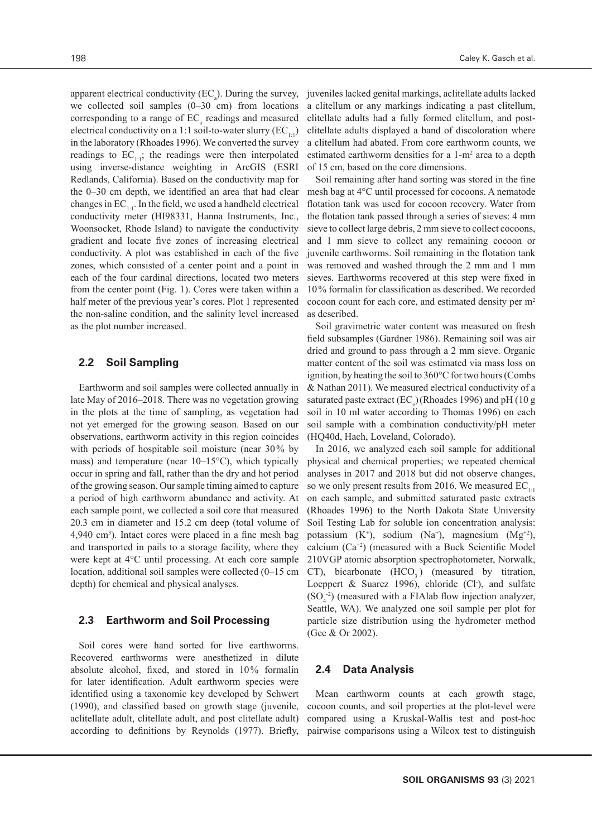apparent electrical conductivity ( $EC_a$ ). During the survey, we collected soil samples (0–30 cm) from locations corresponding to a range of  $EC$ <sub>a</sub> readings and measured electrical conductivity on a 1:1 soil-to-water slurry  $(EC_{1:1})$ in the laboratory (Rhoades 1996). We converted the survey readings to  $EC_{1:1}$ ; the readings were then interpolated using inverse-distance weighting in ArcGIS (ESRI Redlands, California). Based on the conductivity map for the 0–30 cm depth, we identified an area that had clear changes in  $EC_{1,1}$ . In the field, we used a handheld electrical conductivity meter (HI98331, Hanna Instruments, Inc., Woonsocket, Rhode Island) to navigate the conductivity gradient and locate five zones of increasing electrical conductivity. A plot was established in each of the five zones, which consisted of a center point and a point in each of the four cardinal directions, located two meters from the center point (Fig. 1). Cores were taken within a half meter of the previous year's cores. Plot 1 represented the non-saline condition, and the salinity level increased as the plot number increased.

#### **2.2 Soil Sampling**

Earthworm and soil samples were collected annually in late May of 2016–2018. There was no vegetation growing in the plots at the time of sampling, as vegetation had not yet emerged for the growing season. Based on our observations, earthworm activity in this region coincides with periods of hospitable soil moisture (near 30% by mass) and temperature (near 10–15°C), which typically occur in spring and fall, rather than the dry and hot period of the growing season. Our sample timing aimed to capture a period of high earthworm abundance and activity. At each sample point, we collected a soil core that measured 20.3 cm in diameter and 15.2 cm deep (total volume of 4,940 cm3 ). Intact cores were placed in a fine mesh bag and transported in pails to a storage facility, where they were kept at 4°C until processing. At each core sample location, additional soil samples were collected (0–15 cm depth) for chemical and physical analyses.

#### **2.3 Earthworm and Soil Processing**

Soil cores were hand sorted for live earthworms. Recovered earthworms were anesthetized in dilute absolute alcohol, fixed, and stored in 10% formalin for later identification. Adult earthworm species were identified using a taxonomic key developed by Schwert (1990), and classified based on growth stage (juvenile, aclitellate adult, clitellate adult, and post clitellate adult) according to definitions by Reynolds (1977). Briefly,

juveniles lacked genital markings, aclitellate adults lacked a clitellum or any markings indicating a past clitellum, clitellate adults had a fully formed clitellum, and postclitellate adults displayed a band of discoloration where a clitellum had abated. From core earthworm counts, we estimated earthworm densities for a 1-m<sup>2</sup> area to a depth of 15 cm, based on the core dimensions.

Soil remaining after hand sorting was stored in the fine mesh bag at 4°C until processed for cocoons. A nematode flotation tank was used for cocoon recovery. Water from the flotation tank passed through a series of sieves: 4 mm sieve to collect large debris, 2 mm sieve to collect cocoons, and 1 mm sieve to collect any remaining cocoon or juvenile earthworms. Soil remaining in the flotation tank was removed and washed through the 2 mm and 1 mm sieves. Earthworms recovered at this step were fixed in 10% formalin for classification as described. We recorded cocoon count for each core, and estimated density per m2 as described.

Soil gravimetric water content was measured on fresh field subsamples (Gardner 1986). Remaining soil was air dried and ground to pass through a 2 mm sieve. Organic matter content of the soil was estimated via mass loss on ignition, by heating the soil to 360°C for two hours (Combs & Nathan 2011). We measured electrical conductivity of a saturated paste extract (EC<sub>e</sub>)(Rhoades 1996) and pH (10 g soil in 10 ml water according to Thomas 1996) on each soil sample with a combination conductivity/pH meter (HQ40d, Hach, Loveland, Colorado).

In 2016, we analyzed each soil sample for additional physical and chemical properties; we repeated chemical analyses in 2017 and 2018 but did not observe changes, so we only present results from 2016. We measured  $EC_{1:1}$ on each sample, and submitted saturated paste extracts (Rhoades 1996) to the North Dakota State University Soil Testing Lab for soluble ion concentration analysis: potassium  $(K^+)$ , sodium  $(Na^+)$ , magnesium  $(Mg^{+2})$ , calcium  $(Ca^{+2})$  (measured with a Buck Scientific Model 210VGP atomic absorption spectrophotometer, Norwalk, CT), bicarbonate  $(HCO<sub>3</sub>)$  (measured by titration, Loeppert & Suarez 1996), chloride (Cl<sup>-</sup>), and sulfate  $(SO<sub>4</sub><sup>-2</sup>)$  (measured with a FIAlab flow injection analyzer, Seattle, WA). We analyzed one soil sample per plot for particle size distribution using the hydrometer method (Gee & Or 2002).

### **2.4 Data Analysis**

Mean earthworm counts at each growth stage, cocoon counts, and soil properties at the plot-level were compared using a Kruskal-Wallis test and post-hoc pairwise comparisons using a Wilcox test to distinguish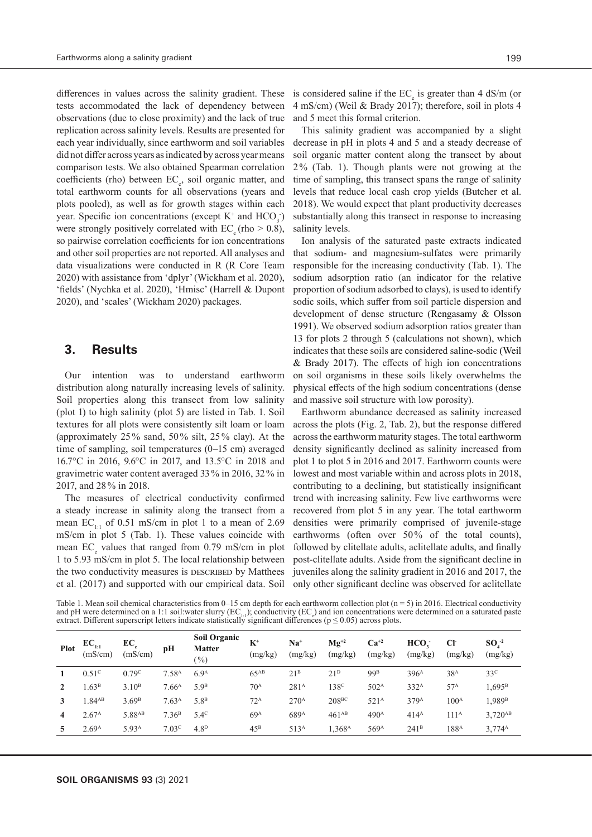differences in values across the salinity gradient. These tests accommodated the lack of dependency between observations (due to close proximity) and the lack of true replication across salinity levels. Results are presented for each year individually, since earthworm and soil variables did not differ across years as indicated by across year means comparison tests. We also obtained Spearman correlation coefficients (rho) between EC<sub>e</sub>, soil organic matter, and total earthworm counts for all observations (years and plots pooled), as well as for growth stages within each year. Specific ion concentrations (except  $K^+$  and  $HCO<sub>3</sub>$ ) were strongly positively correlated with  $EC_{\alpha}$  (rho  $> 0.8$ ), so pairwise correlation coefficients for ion concentrations and other soil properties are not reported. All analyses and data visualizations were conducted in R (R Core Team 2020) with assistance from 'dplyr' (Wickham et al. 2020), 'fields' (Nychka et al. 2020), 'Hmisc' (Harrell & Dupont 2020), and 'scales' (Wickham 2020) packages.

### **3. Results**

Our intention was to understand earthworm distribution along naturally increasing levels of salinity. Soil properties along this transect from low salinity (plot 1) to high salinity (plot 5) are listed in Tab. 1. Soil textures for all plots were consistently silt loam or loam (approximately 25% sand, 50% silt, 25% clay). At the time of sampling, soil temperatures (0–15 cm) averaged 16.7°C in 2016, 9.6°C in 2017, and 13.5°C in 2018 and gravimetric water content averaged 33% in 2016, 32% in 2017, and 28% in 2018.

The measures of electrical conductivity confirmed a steady increase in salinity along the transect from a mean  $EC_{1:1}$  of 0.51 mS/cm in plot 1 to a mean of 2.69 mS/cm in plot 5 (Tab. 1). These values coincide with mean EC<sub>e</sub> values that ranged from 0.79 mS/cm in plot 1 to 5.93 mS/cm in plot 5. The local relationship between the two conductivity measures is DESCRIBED by Matthees et al. (2017) and supported with our empirical data. Soil

is considered saline if the  $EC$ <sub>e</sub> is greater than 4 dS/m (or 4 mS/cm) (Weil & Brady 2017); therefore, soil in plots 4 and 5 meet this formal criterion.

This salinity gradient was accompanied by a slight decrease in pH in plots 4 and 5 and a steady decrease of soil organic matter content along the transect by about 2% (Tab. 1). Though plants were not growing at the time of sampling, this transect spans the range of salinity levels that reduce local cash crop yields (Butcher et al. 2018). We would expect that plant productivity decreases substantially along this transect in response to increasing salinity levels.

Ion analysis of the saturated paste extracts indicated that sodium- and magnesium-sulfates were primarily responsible for the increasing conductivity (Tab. 1). The sodium adsorption ratio (an indicator for the relative proportion of sodium adsorbed to clays), is used to identify sodic soils, which suffer from soil particle dispersion and development of dense structure (Rengasamy & Olsson 1991). We observed sodium adsorption ratios greater than 13 for plots 2 through 5 (calculations not shown), which indicates that these soils are considered saline-sodic (Weil & Brady 2017). The effects of high ion concentrations on soil organisms in these soils likely overwhelms the physical effects of the high sodium concentrations (dense and massive soil structure with low porosity).

Earthworm abundance decreased as salinity increased across the plots (Fig. 2, Tab. 2), but the response differed across the earthworm maturity stages. The total earthworm density significantly declined as salinity increased from plot 1 to plot 5 in 2016 and 2017. Earthworm counts were lowest and most variable within and across plots in 2018, contributing to a declining, but statistically insignificant trend with increasing salinity. Few live earthworms were recovered from plot 5 in any year. The total earthworm densities were primarily comprised of juvenile-stage earthworms (often over 50% of the total counts), followed by clitellate adults, aclitellate adults, and finally post-clitellate adults. Aside from the significant decline in juveniles along the salinity gradient in 2016 and 2017, the only other significant decline was observed for aclitellate

Table 1. Mean soil chemical characteristics from 0–15 cm depth for each earthworm collection plot ( $n = 5$ ) in 2016. Electrical conductivity and pH were determined on a 1:1 soil:water slurry  $(EC_{11})$ ; conductivity  $(EC_{\epsilon})$  and ion concentrations were determined on a saturated paste extract. Different superscript letters indicate statistically significant differences ( $p \le 0.05$ ) across plots.

| <b>Plot</b>    | $EC_{1:1}$<br>(mS/cm) | $EC_e$<br>(mS/cm)  | pН                | <b>Soil Organic</b><br><b>Matter</b><br>( %) | $K^+$<br>(mg/kg) | Na†<br>(mg/kg)   | $Mg^{+2}$<br>(mg/kg) | $Ca^{+2}$<br>(mg/kg) | HCO <sub>1</sub><br>(mg/kg) | CF<br>(mg/kg)    | $SO4-2$<br>(mg/kg)  |
|----------------|-----------------------|--------------------|-------------------|----------------------------------------------|------------------|------------------|----------------------|----------------------|-----------------------------|------------------|---------------------|
|                | 0.51 <sup>c</sup>     | 0.79 <sup>c</sup>  | 7.58 <sup>A</sup> | 6.9 <sup>A</sup>                             | $65^{AB}$        | 21 <sup>B</sup>  | 21 <sup>D</sup>      | 99 <sup>B</sup>      | 396 <sup>A</sup>            | 38 <sup>A</sup>  | 33 <sup>c</sup>     |
|                | .63 <sup>B</sup>      | 3.10 <sup>B</sup>  | 7.66 <sup>A</sup> | 5.9 <sup>B</sup>                             | 70 <sup>A</sup>  | 281 <sup>A</sup> | 138 <sup>c</sup>     | 502 <sup>A</sup>     | 332 <sup>A</sup>            | 57 <sup>A</sup>  | $1,695^{\rm B}$     |
| 3              | .84 <sub>AB</sub>     | 3.69 <sup>B</sup>  | 7.63 <sup>A</sup> | 5.8 <sup>B</sup>                             | $72^{\text{A}}$  | $270^{\rm A}$    | 208 <sup>BC</sup>    | 521 <sup>A</sup>     | 379 <sup>A</sup>            | 100 <sup>A</sup> | 1,989 <sup>B</sup>  |
| $\overline{4}$ | 2.67 <sup>A</sup>     | 5.88 <sup>AB</sup> | 7.36 <sup>B</sup> | $5.4^\circ$                                  | 69 <sup>A</sup>  | 689 <sup>A</sup> | $461^{AB}$           | 490 <sup>A</sup>     | 414 <sup>A</sup>            | 111 <sup>A</sup> | 3,720 <sup>AB</sup> |
| 5.             | 2.69 <sup>A</sup>     | 5.93 <sup>A</sup>  | 7.03 <sup>c</sup> | 4.8 <sup>D</sup>                             | $45^{\rm B}$     | 513 <sup>A</sup> | 1,368 <sup>A</sup>   | 569 <sup>A</sup>     | 241 <sup>B</sup>            | 188 <sup>A</sup> | 3,774 <sup>A</sup>  |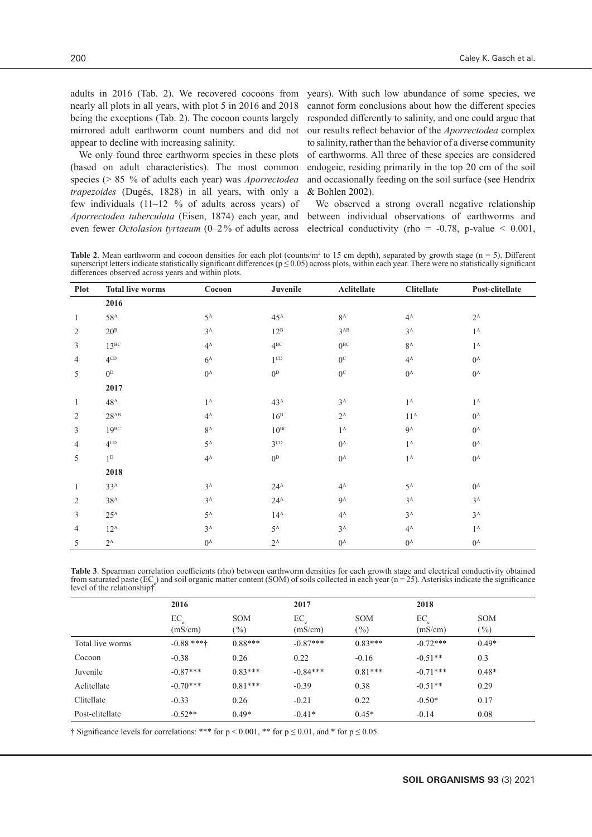adults in 2016 (Tab. 2). We recovered cocoons from nearly all plots in all years, with plot 5 in 2016 and 2018 being the exceptions (Tab. 2). The cocoon counts largely mirrored adult earthworm count numbers and did not appear to decline with increasing salinity.

We only found three earthworm species in these plots (based on adult characteristics). The most common species (> 85 % of adults each year) was *Aporrectodea trapezoides* (Dugés, 1828) in all years, with only a few individuals (11–12 % of adults across years) of *Aporrectodea tuberculata* (Eisen, 1874) each year, and even fewer *Octolasion tyrtaeum* (0–2% of adults across

years). With such low abundance of some species, we cannot form conclusions about how the different species responded differently to salinity, and one could argue that our results reflect behavior of the *Aporrectodea* complex to salinity, rather than the behavior of a diverse community of earthworms. All three of these species are considered endogeic, residing primarily in the top 20 cm of the soil and occasionally feeding on the soil surface (see Hendrix & Bohlen 2002).

We observed a strong overall negative relationship between individual observations of earthworms and electrical conductivity (rho =  $-0.78$ , p-value < 0.001,

**Table 2.** Mean earthworm and cocoon densities for each plot (counts/ $m^2$  to 15 cm depth), separated by growth stage ( $n = 5$ ). Different superscript letters indicate statistically significant differences ( $p \le 0.05$ ) across plots, within each year. There were no statistically significant differences observed across years and within plots.

| <b>Plot</b>    | <b>Total live worms</b> | Cocoon         | Juvenile        | Aclitellate      | <b>Clitellate</b> | Post-clitellate  |
|----------------|-------------------------|----------------|-----------------|------------------|-------------------|------------------|
|                | 2016                    |                |                 |                  |                   |                  |
| $\mathbf{1}$   | $58^{\rm A}$            | $5^{\text{A}}$ | $45^{\text{A}}$ | $8^{\rm A}$      | $4^A$             | $2^{\rm A}$      |
| $\mathbf{2}$   | 20 <sup>B</sup>         | $3^{\rm A}$    | $12^{\rm B}$    | $3^{AB}$         | $3^{\rm A}$       | $1^{\rm A}$      |
| 3              | $13^{BC}$               | $4^{\rm A}$    | $4^{BC}$        | $0^{BC}$         | $8^{\rm A}$       | $1^{\mathrm{A}}$ |
| $\overline{4}$ | $4^{\text{CD}}$         | $6^{\rm A}$    | $1^{\text{CD}}$ | $0^{\circ}$      | $4^{\rm A}$       | $0^{\rm A}$      |
| 5              | 0 <sup>D</sup>          | $0^{\rm A}$    | $0^{\rm D}$     | $0^\mathrm{c}$   | $0^{\rm A}$       | $0^{\rm A}$      |
|                | 2017                    |                |                 |                  |                   |                  |
| $\mathbf{1}$   | 48 <sup>A</sup>         | $1^{\rm A}$    | 43 <sup>A</sup> | $3^A$            | $1^{\rm A}$       | $1^{\rm A}$      |
| 2              | $28^{AB}$               | $4^{\rm A}$    | 16 <sup>B</sup> | $2^{\rm A}$      | $11^{\rm A}$      | $0^{\rm A}$      |
| 3              | $19^{BC}$               | $8^{\rm A}$    | $10^{BC}$       | $1^{\rm A}$      | $9^A$             | $0^{\rm A}$      |
| 4              | $4^{\mathrm{CD}}$       | $5^{\rm A}$    | $3^{CD}$        | $0^{\mathrm{A}}$ | $1^{\rm A}$       | $0^{\rm A}$      |
| 5              | $1^{\rm D}$             | $4^{\rm A}$    | $0^{\rm D}$     | $0^{\mathrm{A}}$ | $1^{\rm A}$       | $0^{\rm A}$      |
|                | 2018                    |                |                 |                  |                   |                  |
| $\mathbf{1}$   | 33 <sup>A</sup>         | $3^{\rm A}$    | $24^{\text{A}}$ | $4^A$            | $5^{\text{A}}$    | $0^{\rm A}$      |
| 2              | 38 <sup>A</sup>         | $3^A$          | $24^{\rm A}$    | $9^A$            | $3^{\rm A}$       | $3^{\rm A}$      |
| 3              | $25^{\rm A}$            | $5^{\rm A}$    | $14^{\rm A}$    | $4^{\rm A}$      | $3^{\rm A}$       | $3^{\rm A}$      |
| 4              | $12^{\rm A}$            | $3^A$          | $5^{\rm A}$     | $3^{\rm A}$      | $4^A$             | $1^{\rm A}$      |
| 5              | $2^{\rm A}$             | $0^{\rm A}$    | $2^{\rm A}$     | $0^{\rm A}$      | $0^{\rm A}$       | $0^{\rm A}$      |

**Table 3**. Spearman correlation coefficients (rho) between earthworm densities for each growth stage and electrical conductivity obtained from saturated paste ( $EC_e$ ) and soil organic matter content (SOM) of soils collected in each year ( $n = 25$ ). Asterisks indicate the significance level of the relationship†.

|                  | 2016         |            | 2017       |            | 2018       |            |
|------------------|--------------|------------|------------|------------|------------|------------|
|                  | EC           | <b>SOM</b> | EC         | <b>SOM</b> | EC         | <b>SOM</b> |
|                  | (mS/cm)      | $(\%)$     | (mS/cm)    | $(\%)$     | (mS/cm)    | $(\%)$     |
| Total live worms | $-0.88$ ***† | $0.88***$  | $-0.87***$ | $0.83***$  | $-0.72***$ | $0.49*$    |
| Cocoon           | $-0.38$      | 0.26       | 0.22       | $-0.16$    | $-0.51**$  | 0.3        |
| Juvenile         | $-0.87***$   | $0.83***$  | $-0.84***$ | $0.81***$  | $-0.71***$ | $0.48*$    |
| Aclitellate      | $-0.70***$   | $0.81***$  | $-0.39$    | 0.38       | $-0.51**$  | 0.29       |
| Clitellate       | $-0.33$      | 0.26       | $-0.21$    | 0.22       | $-0.50*$   | 0.17       |
| Post-clitellate  | $-0.52**$    | $0.49*$    | $-0.41*$   | $0.45*$    | $-0.14$    | 0.08       |

† Significance levels for correlations: \*\*\* for  $p \le 0.001$ , \*\* for  $p \le 0.01$ , and \* for  $p \le 0.05$ .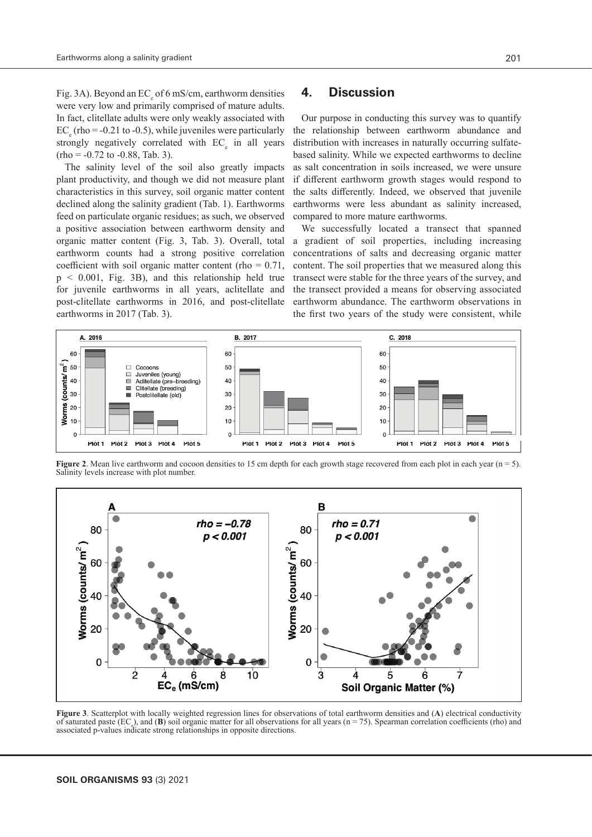Fig. 3A). Beyond an EC<sub>e</sub> of 6 mS/cm, earthworm densities were very low and primarily comprised of mature adults. In fact, clitellate adults were only weakly associated with  $EC_{\rm e}$  (rho = -0.21 to -0.5), while juveniles were particularly strongly negatively correlated with  $EC_{e}$  in all years  $(rho = -0.72 \text{ to } -0.88, \text{ Tab. } 3).$ 

The salinity level of the soil also greatly impacts plant productivity, and though we did not measure plant characteristics in this survey, soil organic matter content declined along the salinity gradient (Tab. 1). Earthworms feed on particulate organic residues; as such, we observed a positive association between earthworm density and organic matter content (Fig. 3, Tab. 3). Overall, total earthworm counts had a strong positive correlation coefficient with soil organic matter content (rho  $= 0.71$ , p < 0.001, Fig. 3B), and this relationship held true for juvenile earthworms in all years, aclitellate and post-clitellate earthworms in 2016, and post-clitellate earthworms in 2017 (Tab. 3).

# **4. Discussion**

Our purpose in conducting this survey was to quantify the relationship between earthworm abundance and distribution with increases in naturally occurring sulfatebased salinity. While we expected earthworms to decline as salt concentration in soils increased, we were unsure if different earthworm growth stages would respond to the salts differently. Indeed, we observed that juvenile earthworms were less abundant as salinity increased, compared to more mature earthworms.

We successfully located a transect that spanned a gradient of soil properties, including increasing concentrations of salts and decreasing organic matter content. The soil properties that we measured along this transect were stable for the three years of the survey, and the transect provided a means for observing associated earthworm abundance. The earthworm observations in the first two years of the study were consistent, while



**Figure 2**. Mean live earthworm and cocoon densities to 15 cm depth for each growth stage recovered from each plot in each year  $(n = 5)$ . Salinity levels increase with plot number.



**Figure 3**. Scatterplot with locally weighted regression lines for observations of total earthworm densities and (**A**) electrical conductivity of saturated paste  $(EC_{\alpha})$ , and  $(B)$  soil organic matter for all observations for all years  $(n = 75)$ . Spearman correlation coefficients (rho) and associated p-values indicate strong relationships in opposite directions.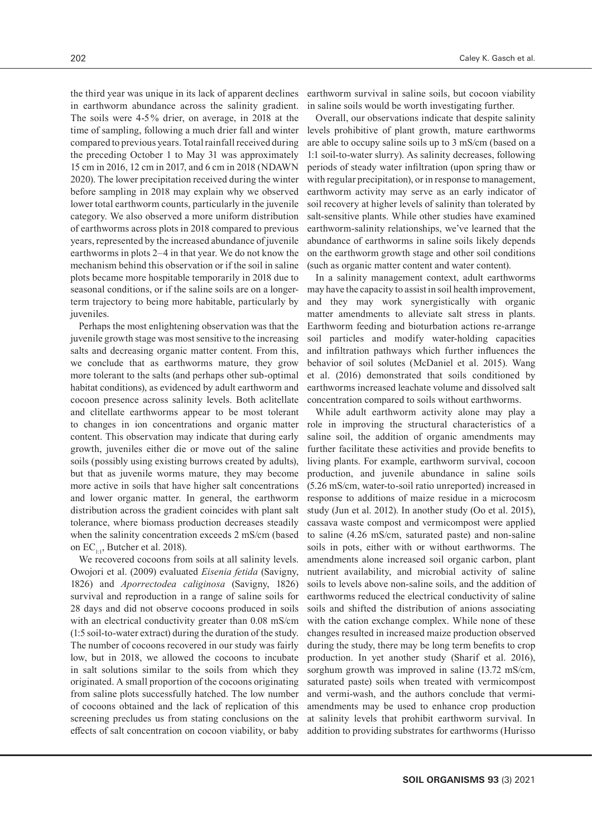the third year was unique in its lack of apparent declines in earthworm abundance across the salinity gradient. The soils were 4-5% drier, on average, in 2018 at the time of sampling, following a much drier fall and winter compared to previous years. Total rainfall received during the preceding October 1 to May 31 was approximately 15 cm in 2016, 12 cm in 2017, and 6 cm in 2018 (NDAWN 2020). The lower precipitation received during the winter before sampling in 2018 may explain why we observed lower total earthworm counts, particularly in the juvenile category. We also observed a more uniform distribution of earthworms across plots in 2018 compared to previous years, represented by the increased abundance of juvenile earthworms in plots 2–4 in that year. We do not know the mechanism behind this observation or if the soil in saline plots became more hospitable temporarily in 2018 due to seasonal conditions, or if the saline soils are on a longerterm trajectory to being more habitable, particularly by juveniles.

Perhaps the most enlightening observation was that the juvenile growth stage was most sensitive to the increasing salts and decreasing organic matter content. From this, we conclude that as earthworms mature, they grow more tolerant to the salts (and perhaps other sub-optimal habitat conditions), as evidenced by adult earthworm and cocoon presence across salinity levels. Both aclitellate and clitellate earthworms appear to be most tolerant to changes in ion concentrations and organic matter content. This observation may indicate that during early growth, juveniles either die or move out of the saline soils (possibly using existing burrows created by adults), but that as juvenile worms mature, they may become more active in soils that have higher salt concentrations and lower organic matter. In general, the earthworm distribution across the gradient coincides with plant salt tolerance, where biomass production decreases steadily when the salinity concentration exceeds 2 mS/cm (based on  $EC_{1,1}$ , Butcher et al. 2018).

We recovered cocoons from soils at all salinity levels. Owojori et al. (2009) evaluated *Eisenia fetida* (Savigny, 1826) and *Aporrectodea caliginosa* (Savigny, 1826) survival and reproduction in a range of saline soils for 28 days and did not observe cocoons produced in soils with an electrical conductivity greater than 0.08 mS/cm (1:5 soil-to-water extract) during the duration of the study. The number of cocoons recovered in our study was fairly low, but in 2018, we allowed the cocoons to incubate in salt solutions similar to the soils from which they originated. A small proportion of the cocoons originating from saline plots successfully hatched. The low number of cocoons obtained and the lack of replication of this screening precludes us from stating conclusions on the effects of salt concentration on cocoon viability, or baby earthworm survival in saline soils, but cocoon viability in saline soils would be worth investigating further.

Overall, our observations indicate that despite salinity levels prohibitive of plant growth, mature earthworms are able to occupy saline soils up to 3 mS/cm (based on a 1:1 soil-to-water slurry). As salinity decreases, following periods of steady water infiltration (upon spring thaw or with regular precipitation), or in response to management, earthworm activity may serve as an early indicator of soil recovery at higher levels of salinity than tolerated by salt-sensitive plants. While other studies have examined earthworm-salinity relationships, we've learned that the abundance of earthworms in saline soils likely depends on the earthworm growth stage and other soil conditions (such as organic matter content and water content).

In a salinity management context, adult earthworms may have the capacity to assist in soil health improvement, and they may work synergistically with organic matter amendments to alleviate salt stress in plants. Earthworm feeding and bioturbation actions re-arrange soil particles and modify water-holding capacities and infiltration pathways which further influences the behavior of soil solutes (McDaniel et al. 2015). Wang et al. (2016) demonstrated that soils conditioned by earthworms increased leachate volume and dissolved salt concentration compared to soils without earthworms.

While adult earthworm activity alone may play a role in improving the structural characteristics of a saline soil, the addition of organic amendments may further facilitate these activities and provide benefits to living plants. For example, earthworm survival, cocoon production, and juvenile abundance in saline soils (5.26 mS/cm, water-to-soil ratio unreported) increased in response to additions of maize residue in a microcosm study (Jun et al. 2012). In another study (Oo et al. 2015), cassava waste compost and vermicompost were applied to saline (4.26 mS/cm, saturated paste) and non-saline soils in pots, either with or without earthworms. The amendments alone increased soil organic carbon, plant nutrient availability, and microbial activity of saline soils to levels above non-saline soils, and the addition of earthworms reduced the electrical conductivity of saline soils and shifted the distribution of anions associating with the cation exchange complex. While none of these changes resulted in increased maize production observed during the study, there may be long term benefits to crop production. In yet another study (Sharif et al. 2016), sorghum growth was improved in saline (13.72 mS/cm, saturated paste) soils when treated with vermicompost and vermi-wash, and the authors conclude that vermiamendments may be used to enhance crop production at salinity levels that prohibit earthworm survival. In addition to providing substrates for earthworms (Hurisso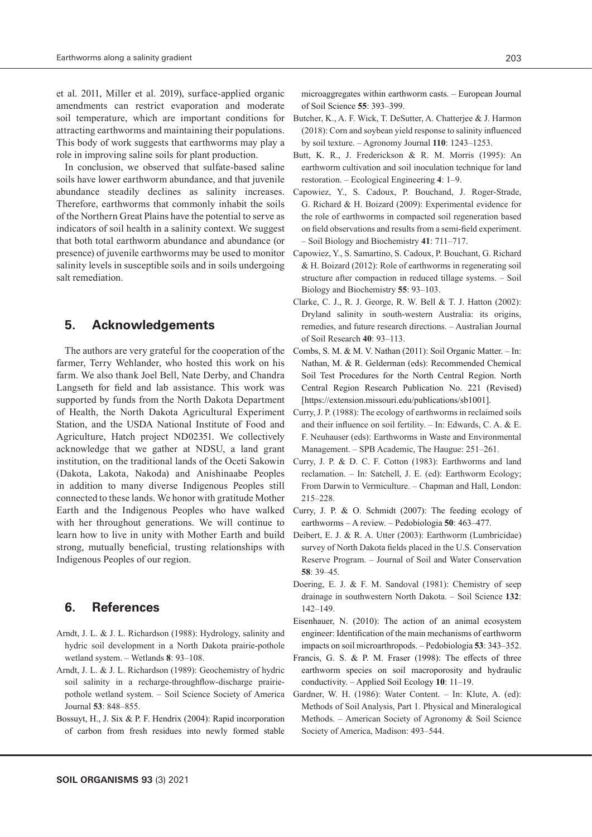et al. 2011, Miller et al. 2019), surface-applied organic amendments can restrict evaporation and moderate soil temperature, which are important conditions for attracting earthworms and maintaining their populations. This body of work suggests that earthworms may play a role in improving saline soils for plant production.

In conclusion, we observed that sulfate-based saline soils have lower earthworm abundance, and that juvenile abundance steadily declines as salinity increases. Therefore, earthworms that commonly inhabit the soils of the Northern Great Plains have the potential to serve as indicators of soil health in a salinity context. We suggest that both total earthworm abundance and abundance (or presence) of juvenile earthworms may be used to monitor salinity levels in susceptible soils and in soils undergoing salt remediation.

# **5. Acknowledgements**

The authors are very grateful for the cooperation of the farmer, Terry Wehlander, who hosted this work on his farm. We also thank Joel Bell, Nate Derby, and Chandra Langseth for field and lab assistance. This work was supported by funds from the North Dakota Department of Health, the North Dakota Agricultural Experiment Station, and the USDA National Institute of Food and Agriculture, Hatch project ND02351. We collectively acknowledge that we gather at NDSU, a land grant institution, on the traditional lands of the Oceti Sakowin (Dakota, Lakota, Nakoda) and Anishinaabe Peoples in addition to many diverse Indigenous Peoples still connected to these lands. We honor with gratitude Mother Earth and the Indigenous Peoples who have walked with her throughout generations. We will continue to learn how to live in unity with Mother Earth and build strong, mutually beneficial, trusting relationships with Indigenous Peoples of our region.

# **6. References**

- Arndt, J. L. & J. L. Richardson (1988): Hydrology, salinity and hydric soil development in a North Dakota prairie-pothole wetland system. – Wetlands **8**: 93–108.
- Arndt, J. L. & J. L. Richardson (1989): Geochemistry of hydric soil salinity in a recharge-throughflow-discharge prairiepothole wetland system. – Soil Science Society of America Journal **53**: 848–855.
- Bossuyt, H., J. Six & P. F. Hendrix (2004): Rapid incorporation of carbon from fresh residues into newly formed stable

microaggregates within earthworm casts. – European Journal of Soil Science **55**: 393–399.

- Butcher, K., A. F. Wick, T. DeSutter, A. Chatterjee & J. Harmon (2018): Corn and soybean yield response to salinity influenced by soil texture. – Agronomy Journal **110**: 1243–1253.
- Butt, K. R., J. Frederickson & R. M. Morris (1995): An earthworm cultivation and soil inoculation technique for land restoration. – Ecological Engineering **4**: 1–9.
- Capowiez, Y., S. Cadoux, P. Bouchand, J. Roger-Strade, G. Richard & H. Boizard (2009): Experimental evidence for the role of earthworms in compacted soil regeneration based on field observations and results from a semi-field experiment. – Soil Biology and Biochemistry **41**: 711–717.
- Capowiez, Y., S. Samartino, S. Cadoux, P. Bouchant, G. Richard & H. Boizard (2012): Role of earthworms in regenerating soil structure after compaction in reduced tillage systems. – Soil Biology and Biochemistry **55**: 93–103.
- Clarke, C. J., R. J. George, R. W. Bell & T. J. Hatton (2002): Dryland salinity in south-western Australia: its origins, remedies, and future research directions. – Australian Journal of Soil Research **40**: 93–113.
- Combs, S. M. & M. V. Nathan (2011): Soil Organic Matter. In: Nathan, M. & R. Gelderman (eds): Recommended Chemical Soil Test Procedures for the North Central Region. North Central Region Research Publication No. 221 (Revised) [https://extension.missouri.edu/publications/sb1001].
- Curry, J. P. (1988): The ecology of earthworms in reclaimed soils and their influence on soil fertility. – In: Edwards, C. A. & E. F. Neuhauser (eds): Earthworms in Waste and Environmental Management. – SPB Academic, The Haugue: 251–261.
- Curry, J. P. & D. C. F. Cotton (1983): Earthworms and land reclamation. – In: Satchell, J. E. (ed): Earthworm Ecology; From Darwin to Vermiculture. – Chapman and Hall, London: 215–228.
- Curry, J. P. & O. Schmidt (2007): The feeding ecology of earthworms – A review. – Pedobiologia **50**: 463–477.
- Deibert, E. J. & R. A. Utter (2003): Earthworm (Lumbricidae) survey of North Dakota fields placed in the U.S. Conservation Reserve Program. – Journal of Soil and Water Conservation **58**: 39–45.
- Doering, E. J. & F. M. Sandoval (1981): Chemistry of seep drainage in southwestern North Dakota. – Soil Science **132**: 142–149.
- Eisenhauer, N. (2010): The action of an animal ecosystem engineer: Identification of the main mechanisms of earthworm impacts on soil microarthropods. – Pedobiologia **53**: 343–352.
- Francis, G. S. & P. M. Fraser (1998): The effects of three earthworm species on soil macroporosity and hydraulic conductivity. – Applied Soil Ecology **10**: 11–19.
- Gardner, W. H. (1986): Water Content. In: Klute, A. (ed): Methods of Soil Analysis, Part 1. Physical and Mineralogical Methods. – American Society of Agronomy & Soil Science Society of America, Madison: 493–544.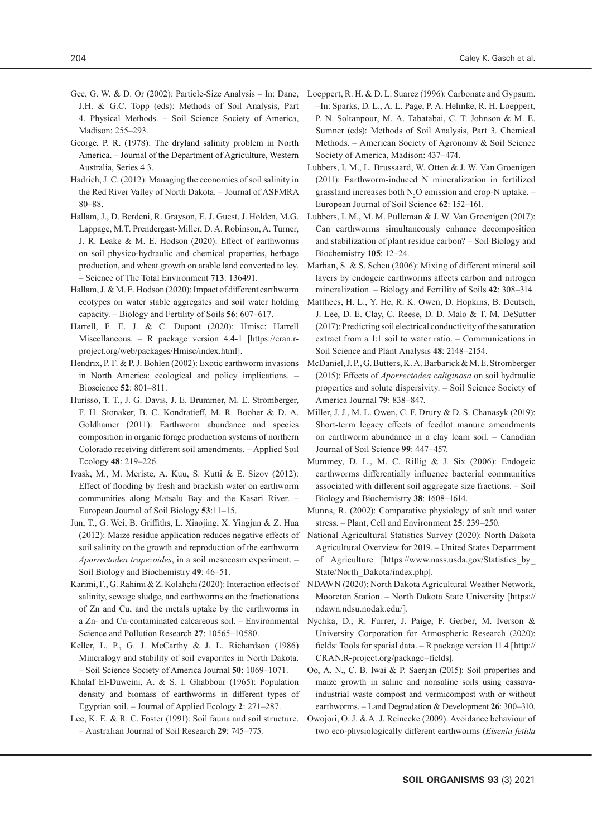- Gee, G. W. & D. Or (2002): Particle-Size Analysis In: Dane, J.H. & G.C. Topp (eds): Methods of Soil Analysis, Part 4. Physical Methods. – Soil Science Society of America, Madison: 255–293.
- George, P. R. (1978): The dryland salinity problem in North America. – Journal of the Department of Agriculture, Western Australia, Series 4 3.
- Hadrich, J. C. (2012): Managing the economics of soil salinity in the Red River Valley of North Dakota. – Journal of ASFMRA 80–88.
- Hallam, J., D. Berdeni, R. Grayson, E. J. Guest, J. Holden, M.G. Lappage, M.T. Prendergast-Miller, D. A. Robinson, A. Turner, J. R. Leake & M. E. Hodson (2020): Effect of earthworms on soil physico-hydraulic and chemical properties, herbage production, and wheat growth on arable land converted to ley. – Science of The Total Environment **713**: 136491.
- Hallam, J. & M. E. Hodson (2020): Impact of different earthworm ecotypes on water stable aggregates and soil water holding capacity. – Biology and Fertility of Soils **56**: 607–617.
- Harrell, F. E. J. & C. Dupont (2020): Hmisc: Harrell Miscellaneous. – R package version 4.4-1 [https://cran.rproject.org/web/packages/Hmisc/index.html].
- Hendrix, P. F. & P. J. Bohlen (2002): Exotic earthworm invasions in North America: ecological and policy implications. – Bioscience **52**: 801–811.
- Hurisso, T. T., J. G. Davis, J. E. Brummer, M. E. Stromberger, F. H. Stonaker, B. C. Kondratieff, M. R. Booher & D. A. Goldhamer (2011): Earthworm abundance and species composition in organic forage production systems of northern Colorado receiving different soil amendments. – Applied Soil Ecology **48**: 219–226.
- Ivask, M., M. Meriste, A. Kuu, S. Kutti & E. Sizov (2012): Effect of flooding by fresh and brackish water on earthworm communities along Matsalu Bay and the Kasari River. – European Journal of Soil Biology **53**:11–15.
- Jun, T., G. Wei, B. Griffiths, L. Xiaojing, X. Yingjun & Z. Hua (2012): Maize residue application reduces negative effects of soil salinity on the growth and reproduction of the earthworm *Aporrectodea trapezoides*, in a soil mesocosm experiment. – Soil Biology and Biochemistry **49**: 46–51.
- Karimi, F., G. Rahimi & Z. Kolahchi (2020): Interaction effects of salinity, sewage sludge, and earthworms on the fractionations of Zn and Cu, and the metals uptake by the earthworms in a Zn- and Cu-contaminated calcareous soil. – Environmental Science and Pollution Research **27**: 10565–10580.
- Keller, L. P., G. J. McCarthy & J. L. Richardson (1986) Mineralogy and stability of soil evaporites in North Dakota. – Soil Science Society of America Journal **50**: 1069–1071.
- Khalaf El-Duweini, A. & S. I. Ghabbour (1965): Population density and biomass of earthworms in different types of Egyptian soil. – Journal of Applied Ecology **2**: 271–287.
- Lee, K. E. & R. C. Foster (1991): Soil fauna and soil structure. – Australian Journal of Soil Research **29**: 745–775.
- Loeppert, R. H. & D. L. Suarez (1996): Carbonate and Gypsum. –In: Sparks, D. L., A. L. Page, P. A. Helmke, R. H. Loeppert, P. N. Soltanpour, M. A. Tabatabai, C. T. Johnson & M. E. Sumner (eds): Methods of Soil Analysis, Part 3. Chemical Methods. – American Society of Agronomy & Soil Science Society of America, Madison: 437–474.
- Lubbers, I. M., L. Brussaard, W. Otten & J. W. Van Groenigen (2011): Earthworm-induced N mineralization in fertilized grassland increases both  $N_2O$  emission and crop-N uptake. -European Journal of Soil Science **62**: 152–161.
- Lubbers, I. M., M. M. Pulleman & J. W. Van Groenigen (2017): Can earthworms simultaneously enhance decomposition and stabilization of plant residue carbon? – Soil Biology and Biochemistry **105**: 12–24.
- Marhan, S. & S. Scheu (2006): Mixing of different mineral soil layers by endogeic earthworms affects carbon and nitrogen mineralization. – Biology and Fertility of Soils **42**: 308–314.
- Matthees, H. L., Y. He, R. K. Owen, D. Hopkins, B. Deutsch, J. Lee, D. E. Clay, C. Reese, D. D. Malo & T. M. DeSutter (2017): Predicting soil electrical conductivity of the saturation extract from a 1:1 soil to water ratio. – Communications in Soil Science and Plant Analysis **48**: 2148–2154.
- McDaniel, J. P., G. Butters, K. A. Barbarick & M. E. Stromberger (2015): Effects of *Aporrectodea caliginosa* on soil hydraulic properties and solute dispersivity. – Soil Science Society of America Journal **79**: 838–847.
- Miller, J. J., M. L. Owen, C. F. Drury & D. S. Chanasyk (2019): Short-term legacy effects of feedlot manure amendments on earthworm abundance in a clay loam soil. – Canadian Journal of Soil Science **99**: 447–457.
- Mummey, D. L., M. C. Rillig & J. Six (2006): Endogeic earthworms differentially influence bacterial communities associated with different soil aggregate size fractions. – Soil Biology and Biochemistry **38**: 1608–1614.
- Munns, R. (2002): Comparative physiology of salt and water stress. – Plant, Cell and Environment **25**: 239–250.
- National Agricultural Statistics Survey (2020): North Dakota Agricultural Overview for 2019. – United States Department of Agriculture [https://www.nass.usda.gov/Statistics\_by\_ State/North\_Dakota/index.php].
- NDAWN (2020): North Dakota Agricultural Weather Network, Mooreton Station. – North Dakota State University [https:// ndawn.ndsu.nodak.edu/].
- Nychka, D., R. Furrer, J. Paige, F. Gerber, M. Iverson & University Corporation for Atmospheric Research (2020): fields: Tools for spatial data. – R package version 11.4 [http:// CRAN.R-project.org/package=fields].
- Oo, A. N., C. B. Iwai & P. Saenjan (2015): Soil properties and maize growth in saline and nonsaline soils using cassavaindustrial waste compost and vermicompost with or without earthworms. – Land Degradation & Development **26**: 300–310.
- Owojori, O. J. & A. J. Reinecke (2009): Avoidance behaviour of two eco-physiologically different earthworms (*Eisenia fetida*